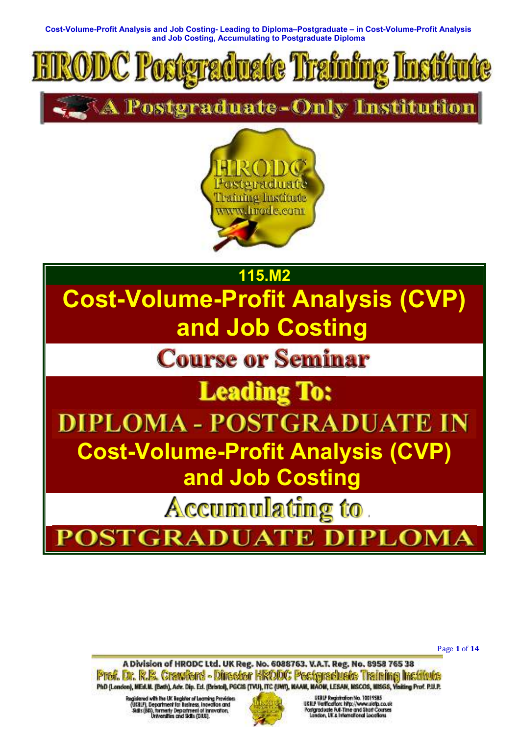

Postgraduate-Only Institution





GRAI A м

Page **1** of **14** 

A Division of HRODC Ltd. UK Reg. No. 6088763. V.A.T. Reg. No. 8958 765 38 Prof. Dr. R.B. Crawford - Director HRODC Postgraduate Training Institute PhD (London), MEd.W. (Bath), Adv. Dip. Ed. (Bristol), PGCIS (TVU), ITC (UWT), KAAM, MAOM, LESAM, MSCOS, MISGS, Visiting Prof. P.U.P.

Registered with the UK lingider of Learning Providers<br>(UEBLF), Department for Business, insertion and<br>Reflix (RR), homenly Department of Innovation,<br>Universities and Sidts (DHS).

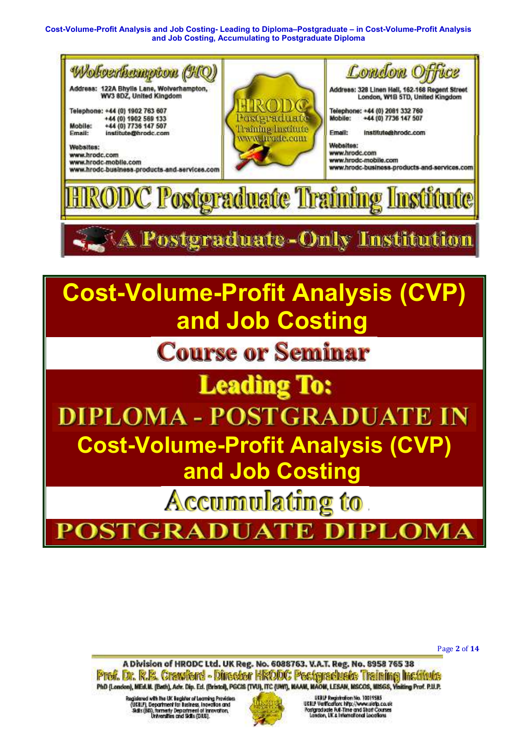

**Accumulating to** 

**DSTGRAI PLOMA** ъ

Page **2** of **14** 

A Division of HRODC Ltd. UK Reg. No. 6088763. V.A.T. Reg. No. 8958 765 38 Prof. Dr. R.B. Crawford - Director HRODC Postgraduate Training Institute PhD (London), MEd.W. (Bath), Adv. Dip. Ed. (Bristol), PGCIS (TVU), ITC (UWT), KAAM, MAOM, LESAM, MSCOS, MISGS, Visiting Prof. P.U.P.

Regislered with the UK Begister of Learning Providers (USBLF), Department for Business, incredible and<br>Skills (BB), formerly Department of innovation,<br>Universities and Skills (DLS).

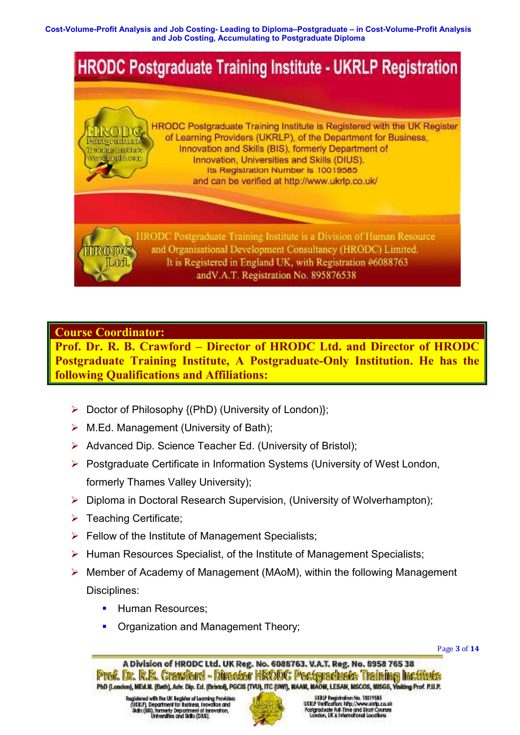

## **Course Coordinator:**

**Prof. Dr. R. B. Crawford – Director of HRODC Ltd. and Director of HRODC Postgraduate Training Institute, A Postgraduate-Only Institution. He has the following Qualifications and Affiliations:**

- Doctor of Philosophy {(PhD) (University of London)};
- $\triangleright$  M.Ed. Management (University of Bath);
- Advanced Dip. Science Teacher Ed. (University of Bristol);
- ▶ Postgraduate Certificate in Information Systems (University of West London, formerly Thames Valley University);
- Diploma in Doctoral Research Supervision, (University of Wolverhampton);
- $\triangleright$  Teaching Certificate;
- $\triangleright$  Fellow of the Institute of Management Specialists;
- $\triangleright$  Human Resources Specialist, of the Institute of Management Specialists;
- $\triangleright$  Member of Academy of Management (MAoM), within the following Management Disciplines:
	- Human Resources;
	- Organization and Management Theory;

Page **3** of **14** 



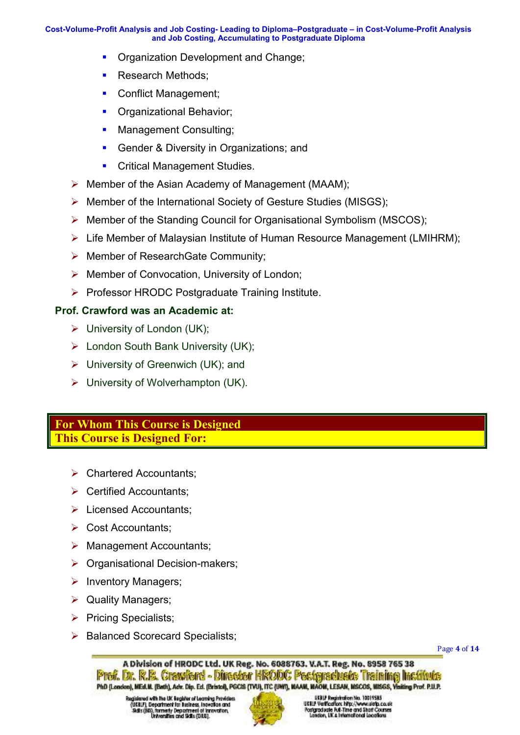- **Organization Development and Change:**
- Research Methods:
- Conflict Management;
- **Organizational Behavior:**
- Management Consulting;
- **Gender & Diversity in Organizations; and**
- Critical Management Studies.
- $\triangleright$  Member of the Asian Academy of Management (MAAM);
- Member of the International Society of Gesture Studies (MISGS);
- $\triangleright$  Member of the Standing Council for Organisational Symbolism (MSCOS);
- ▶ Life Member of Malaysian Institute of Human Resource Management (LMIHRM);
- ▶ Member of ResearchGate Community;
- $\triangleright$  Member of Convocation, University of London;
- ▶ Professor HRODC Postgraduate Training Institute.

## **Prof. Crawford was an Academic at:**

- $\triangleright$  University of London (UK);
- London South Bank University (UK);
- $\triangleright$  University of Greenwich (UK); and
- $\triangleright$  University of Wolverhampton (UK).

## **For Whom This Course is Designed This Course is Designed For:**

- **▶ Chartered Accountants:**
- $\triangleright$  Certified Accountants:
- **Exercised Accountants;**
- $\triangleright$  Cost Accountants;
- $\triangleright$  Management Accountants;
- $\triangleright$  Organisational Decision-makers;
- $\triangleright$  Inventory Managers;
- $\triangleright$  Quality Managers;
- $\triangleright$  Pricing Specialists;
- $\triangleright$  Balanced Scorecard Specialists:

Page **4** of **14** 

A Division of HRODC Ltd. UK Reg. No. 6088763. V.A.T. Reg. No. 8958 765 38 Prof. Dr. R.B. Crawford - Director HRODC Postgraduate Training Institute PhD (London), MEd.W. (Bath), Adv. Dip. Ed. (Bristol), PGC/S (TVU), ITC (UWI), WAAM, WAOM, LESAM, MSCOS, MISGS, Visiting Prof. P.U.P.

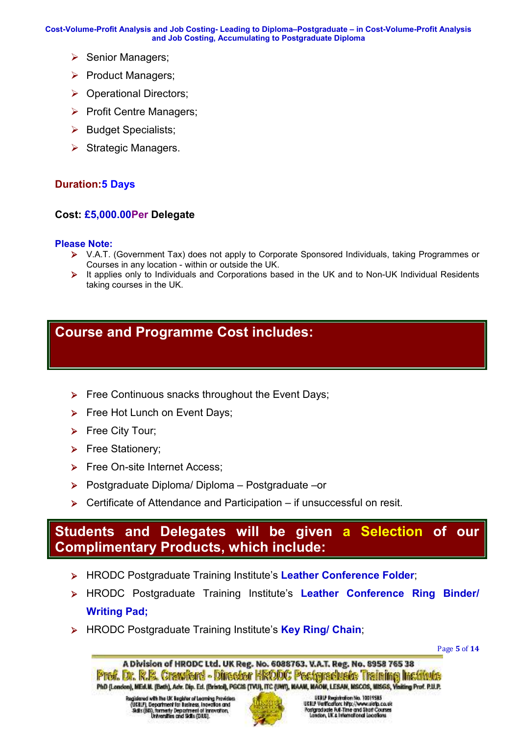- $\triangleright$  Senior Managers;
- $\triangleright$  Product Managers;
- ▶ Operational Directors;
- $\triangleright$  Profit Centre Managers:
- $\triangleright$  Budget Specialists;
- $\triangleright$  Strategic Managers.

## **Duration:5 Days**

## **Cost: £5,000.00Per Delegate**

### **Please Note:**

- V.A.T. (Government Tax) does not apply to Corporate Sponsored Individuals, taking Programmes or Courses in any location - within or outside the UK.
- $\triangleright$  It applies only to Individuals and Corporations based in the UK and to Non-UK Individual Residents taking courses in the UK.

# **Course and Programme Cost includes:**

- $\triangleright$  Free Continuous snacks throughout the Event Days;
- Free Hot Lunch on Event Days;
- $\triangleright$  Free City Tour;
- Free Stationery;
- Free On-site Internet Access;
- Postgraduate Diploma/ Diploma Postgraduate –or
- $\triangleright$  Certificate of Attendance and Participation if unsuccessful on resit.

# **Students and Delegates will be given a Selection of our Complimentary Products, which include:**

- HRODC Postgraduate Training Institute's **Leather Conference Folder**;
- HRODC Postgraduate Training Institute's **Leather Conference Ring Binder/ Writing Pad;**
- HRODC Postgraduate Training Institute's **Key Ring/ Chain**;

Page **5** of **14** 

A Division of HRODC Ltd. UK Reg. No. 6088763. V.A.T. Reg. No. 8958 765 38 Prof. Dr. R.B. Crawford - Director HRODC Postgraduate Training Institute PhD (London), MEd.W. (Bath), Adv. Dip. Ed. (Bristol), PGCIS (TVU), ITC (UWT), KAAM, MAOM, LESAM, MSCOS, MISGS, Visiting Prof. P.U.P.

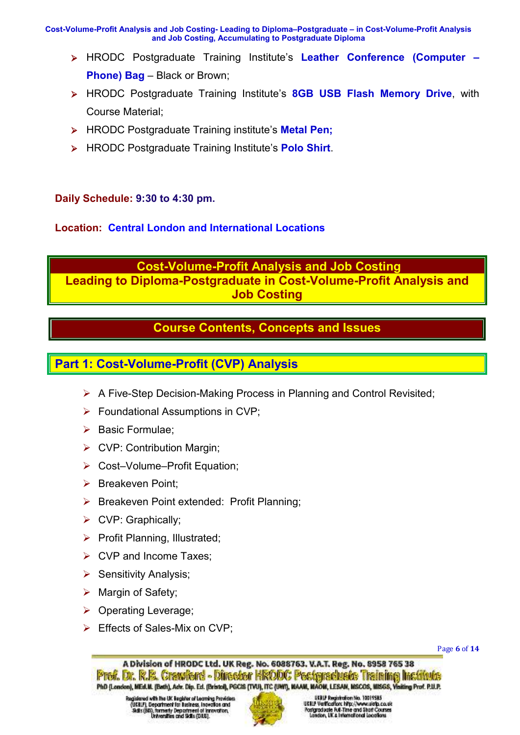- HRODC Postgraduate Training Institute's **Leather Conference (Computer Phone) Bag** – Black or Brown;
- HRODC Postgraduate Training Institute's **8GB USB Flash Memory Drive**, with Course Material;
- HRODC Postgraduate Training institute's **Metal Pen;**
- HRODC Postgraduate Training Institute's **Polo Shirt**.

## **Daily Schedule: 9:30 to 4:30 pm.**

## **Location: Central London and International Locations**

# **Cost-Volume-Profit Analysis and Job Costing**

**Leading to Diploma-Postgraduate in Cost-Volume-Profit Analysis and Job Costing** 

# **Course Contents, Concepts and Issues**

# **Part 1: Cost-Volume-Profit (CVP) Analysis**

- $\triangleright$  A Five-Step Decision-Making Process in Planning and Control Revisited;
- $\triangleright$  Foundational Assumptions in CVP:
- $\triangleright$  Basic Formulae:
- ▶ CVP: Contribution Margin;
- ▶ Cost–Volume–Profit Equation:
- $\triangleright$  Breakeven Point:
- **Breakeven Point extended: Profit Planning;**
- $\triangleright$  CVP: Graphically;
- $\triangleright$  Profit Planning, Illustrated;
- **► CVP and Income Taxes:**
- $\triangleright$  Sensitivity Analysis;
- $\triangleright$  Margin of Safety;
- ▶ Operating Leverage;
- Effects of Sales-Mix on CVP;

Page **6** of **14** 

A Division of HRODC Ltd. UK Reg. No. 6088763. V.A.T. Reg. No. 8958 765 38 Prof. Dr. R.B. Crawford - Director HRODC Postgraduate Training Institute PhD (London), MEd.W. (Bath), Adv. Dip. Ed. (Bristol), PGC/S (TVU), ITC (UWI), WAAM, WAOM, LESAM, MSCOS, MISGS, Visiting Prof. P.U.P.

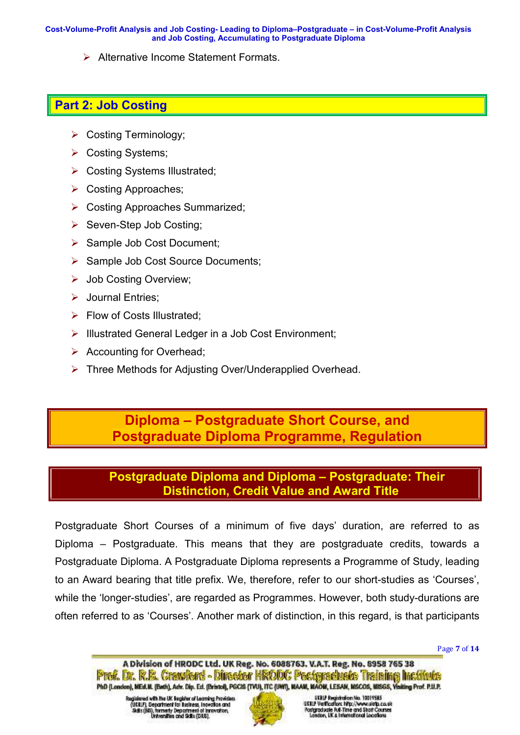Alternative Income Statement Formats.

# **Part 2: Job Costing**

- $\triangleright$  Costing Terminology;
- ▶ Costing Systems;
- ▶ Costing Systems Illustrated;
- Costing Approaches:
- Costing Approaches Summarized;
- $\triangleright$  Seven-Step Job Costing;
- $\triangleright$  Sample Job Cost Document;
- $\triangleright$  Sample Job Cost Source Documents;
- Job Costing Overview;
- Sournal Entries;
- $\triangleright$  Flow of Costs Illustrated;
- > Illustrated General Ledger in a Job Cost Environment;
- $\triangleright$  Accounting for Overhead;
- ▶ Three Methods for Adiusting Over/Underapplied Overhead.

# **Diploma – Postgraduate Short Course, and Postgraduate Diploma Programme, Regulation**

# **Postgraduate Diploma and Diploma – Postgraduate: Their Distinction, Credit Value and Award Title**

Postgraduate Short Courses of a minimum of five days' duration, are referred to as Diploma – Postgraduate. This means that they are postgraduate credits, towards a Postgraduate Diploma. A Postgraduate Diploma represents a Programme of Study, leading to an Award bearing that title prefix. We, therefore, refer to our short-studies as 'Courses', while the 'longer-studies', are regarded as Programmes. However, both study-durations are often referred to as 'Courses'. Another mark of distinction, in this regard, is that participants

Page **7** of **14** 

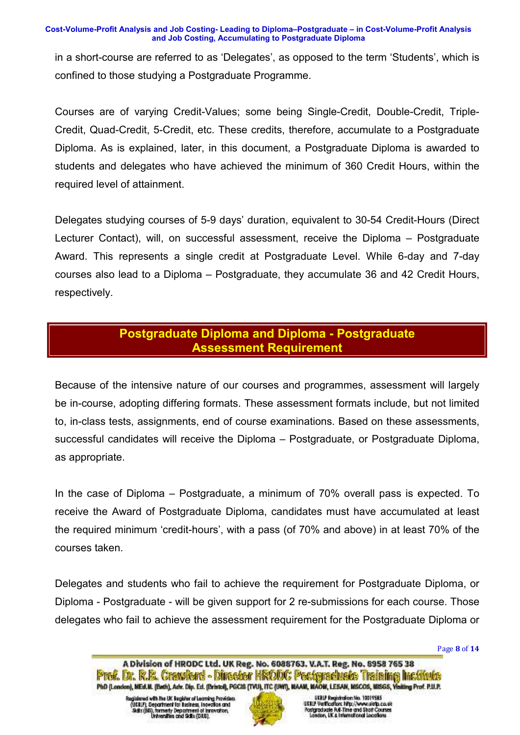in a short-course are referred to as 'Delegates', as opposed to the term 'Students', which is confined to those studying a Postgraduate Programme.

Courses are of varying Credit-Values; some being Single-Credit, Double-Credit, Triple-Credit, Quad-Credit, 5-Credit, etc. These credits, therefore, accumulate to a Postgraduate Diploma. As is explained, later, in this document, a Postgraduate Diploma is awarded to students and delegates who have achieved the minimum of 360 Credit Hours, within the required level of attainment.

Delegates studying courses of 5-9 days' duration, equivalent to 30-54 Credit-Hours (Direct Lecturer Contact), will, on successful assessment, receive the Diploma – Postgraduate Award. This represents a single credit at Postgraduate Level. While 6-day and 7-day courses also lead to a Diploma – Postgraduate, they accumulate 36 and 42 Credit Hours, respectively.

# **Postgraduate Diploma and Diploma - Postgraduate Assessment Requirement**

Because of the intensive nature of our courses and programmes, assessment will largely be in-course, adopting differing formats. These assessment formats include, but not limited to, in-class tests, assignments, end of course examinations. Based on these assessments, successful candidates will receive the Diploma – Postgraduate, or Postgraduate Diploma, as appropriate.

In the case of Diploma – Postgraduate, a minimum of 70% overall pass is expected. To receive the Award of Postgraduate Diploma, candidates must have accumulated at least the required minimum 'credit-hours', with a pass (of 70% and above) in at least 70% of the courses taken.

Delegates and students who fail to achieve the requirement for Postgraduate Diploma, or Diploma - Postgraduate - will be given support for 2 re-submissions for each course. Those delegates who fail to achieve the assessment requirement for the Postgraduate Diploma or

Page **8** of **14** 



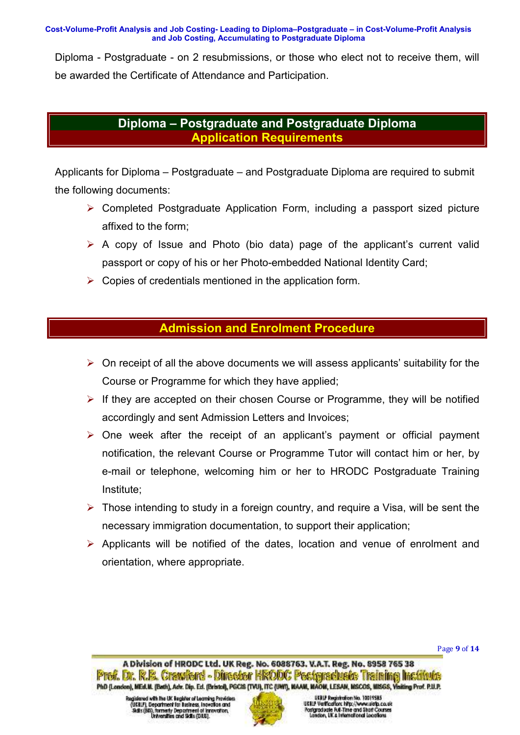Diploma - Postgraduate - on 2 resubmissions, or those who elect not to receive them, will be awarded the Certificate of Attendance and Participation.

# **Diploma – Postgraduate and Postgraduate Diploma Application Requirements**

Applicants for Diploma – Postgraduate – and Postgraduate Diploma are required to submit the following documents:

- Completed Postgraduate Application Form, including a passport sized picture affixed to the form;
- $\triangleright$  A copy of Issue and Photo (bio data) page of the applicant's current valid passport or copy of his or her Photo-embedded National Identity Card;
- $\triangleright$  Copies of credentials mentioned in the application form.

# **Admission and Enrolment Procedure**

- $\triangleright$  On receipt of all the above documents we will assess applicants' suitability for the Course or Programme for which they have applied;
- $\triangleright$  If they are accepted on their chosen Course or Programme, they will be notified accordingly and sent Admission Letters and Invoices;
- $\triangleright$  One week after the receipt of an applicant's payment or official payment notification, the relevant Course or Programme Tutor will contact him or her, by e-mail or telephone, welcoming him or her to HRODC Postgraduate Training Institute;
- $\triangleright$  Those intending to study in a foreign country, and require a Visa, will be sent the necessary immigration documentation, to support their application;
- Applicants will be notified of the dates, location and venue of enrolment and orientation, where appropriate.

Page **9** of **14** 



**USTLY Registration No. 10019585**<br>USBLY Vertication: http://www.ulata.co.uk ostgraduate Rull-Time and Short Courses<br>London, Lik & International Locations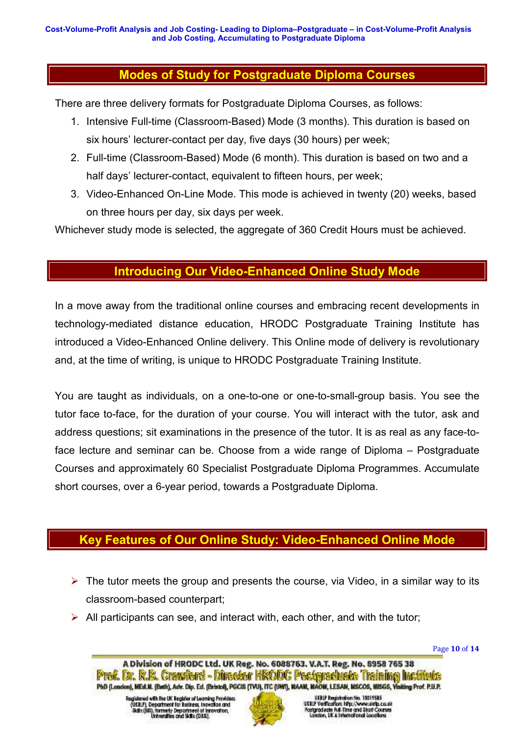# **Modes of Study for Postgraduate Diploma Courses**

There are three delivery formats for Postgraduate Diploma Courses, as follows:

- 1. Intensive Full-time (Classroom-Based) Mode (3 months). This duration is based on six hours' lecturer-contact per day, five days (30 hours) per week;
- 2. Full-time (Classroom-Based) Mode (6 month). This duration is based on two and a half days' lecturer-contact, equivalent to fifteen hours, per week;
- 3. Video-Enhanced On-Line Mode. This mode is achieved in twenty (20) weeks, based on three hours per day, six days per week.

Whichever study mode is selected, the aggregate of 360 Credit Hours must be achieved.

# **Introducing Our Video-Enhanced Online Study Mode**

In a move away from the traditional online courses and embracing recent developments in technology-mediated distance education, HRODC Postgraduate Training Institute has introduced a Video-Enhanced Online delivery. This Online mode of delivery is revolutionary and, at the time of writing, is unique to HRODC Postgraduate Training Institute.

You are taught as individuals, on a one-to-one or one-to-small-group basis. You see the tutor face to-face, for the duration of your course. You will interact with the tutor, ask and address questions; sit examinations in the presence of the tutor. It is as real as any face-toface lecture and seminar can be. Choose from a wide range of Diploma – Postgraduate Courses and approximately 60 Specialist Postgraduate Diploma Programmes. Accumulate short courses, over a 6-year period, towards a Postgraduate Diploma.

# **Key Features of Our Online Study: Video-Enhanced Online Mode**

- $\triangleright$  The tutor meets the group and presents the course, via Video, in a similar way to its classroom-based counterpart;
- $\triangleright$  All participants can see, and interact with, each other, and with the tutor;

Page **10** of **14** 



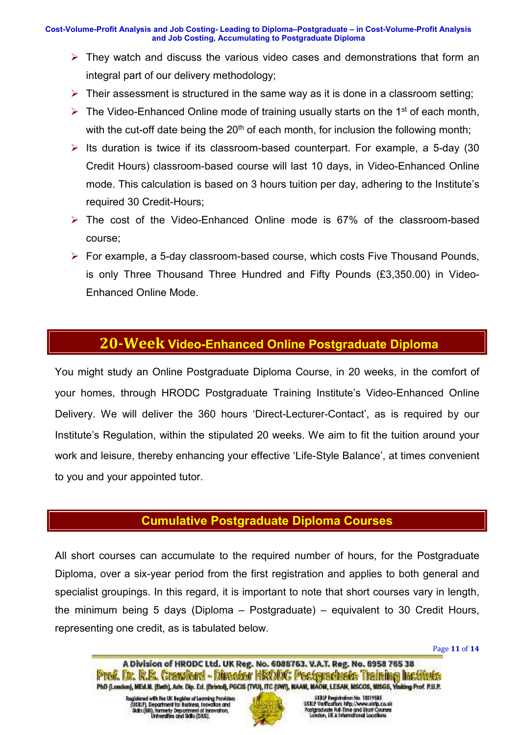- $\triangleright$  They watch and discuss the various video cases and demonstrations that form an integral part of our delivery methodology;
- $\triangleright$  Their assessment is structured in the same way as it is done in a classroom setting;
- $\triangleright$  The Video-Enhanced Online mode of training usually starts on the 1<sup>st</sup> of each month, with the cut-off date being the  $20<sup>th</sup>$  of each month, for inclusion the following month;
- $\triangleright$  Its duration is twice if its classroom-based counterpart. For example, a 5-day (30 Credit Hours) classroom-based course will last 10 days, in Video-Enhanced Online mode. This calculation is based on 3 hours tuition per day, adhering to the Institute's required 30 Credit-Hours;
- The cost of the Video-Enhanced Online mode is 67% of the classroom-based course;
- For example, a 5-day classroom-based course, which costs Five Thousand Pounds, is only Three Thousand Three Hundred and Fifty Pounds (£3,350.00) in Video-Enhanced Online Mode.

# **20-Week Video-Enhanced Online Postgraduate Diploma**

You might study an Online Postgraduate Diploma Course, in 20 weeks, in the comfort of your homes, through HRODC Postgraduate Training Institute's Video-Enhanced Online Delivery. We will deliver the 360 hours 'Direct-Lecturer-Contact', as is required by our Institute's Regulation, within the stipulated 20 weeks. We aim to fit the tuition around your work and leisure, thereby enhancing your effective 'Life-Style Balance', at times convenient to you and your appointed tutor.

# **Cumulative Postgraduate Diploma Courses**

All short courses can accumulate to the required number of hours, for the Postgraduate Diploma, over a six-year period from the first registration and applies to both general and specialist groupings. In this regard, it is important to note that short courses vary in length, the minimum being 5 days (Diploma – Postgraduate) – equivalent to 30 Credit Hours, representing one credit, as is tabulated below.

Page **11** of **14** 

Registered with the UK lingider of Learning Providers<br>(UEBLF), Department for Business, insertion and<br>Reflix (RR), homenly Department of Innovation,<br>Universities and Sidts (DHS).

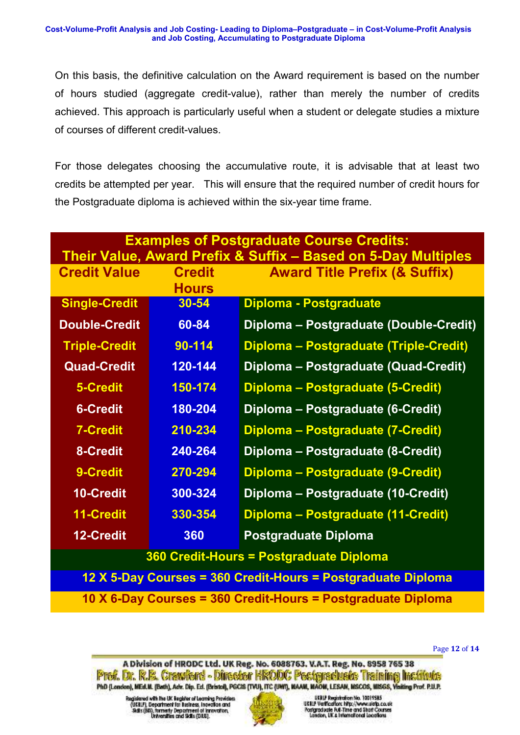On this basis, the definitive calculation on the Award requirement is based on the number of hours studied (aggregate credit-value), rather than merely the number of credits achieved. This approach is particularly useful when a student or delegate studies a mixture of courses of different credit-values.

For those delegates choosing the accumulative route, it is advisable that at least two credits be attempted per year. This will ensure that the required number of credit hours for the Postgraduate diploma is achieved within the six-year time frame.

| <b>Examples of Postgraduate Course Credits:</b><br>Their Value, Award Prefix & Suffix - Based on 5-Day Multiples |                               |                                          |
|------------------------------------------------------------------------------------------------------------------|-------------------------------|------------------------------------------|
| <b>Credit Value</b>                                                                                              | <b>Credit</b><br><b>Hours</b> | <b>Award Title Prefix (&amp; Suffix)</b> |
| <b>Single-Credit</b>                                                                                             | 30-54                         | <b>Diploma - Postgraduate</b>            |
| <b>Double-Credit</b>                                                                                             | 60-84                         | Diploma - Postgraduate (Double-Credit)   |
| <b>Triple-Credit</b>                                                                                             | 90-114                        | Diploma - Postgraduate (Triple-Credit)   |
| <b>Quad-Credit</b>                                                                                               | 120-144                       | Diploma - Postgraduate (Quad-Credit)     |
| 5-Credit                                                                                                         | 150-174                       | Diploma - Postgraduate (5-Credit)        |
| <b>6-Credit</b>                                                                                                  | 180-204                       | Diploma - Postgraduate (6-Credit)        |
| <b>7-Credit</b>                                                                                                  | 210-234                       | Diploma – Postgraduate (7-Credit)        |
| 8-Credit                                                                                                         | 240-264                       | Diploma - Postgraduate (8-Credit)        |
| 9-Credit                                                                                                         | 270-294                       | Diploma – Postgraduate (9-Credit)        |
| <b>10-Credit</b>                                                                                                 | 300-324                       | Diploma - Postgraduate (10-Credit)       |
| 11-Credit                                                                                                        | 330-354                       | Diploma - Postgraduate (11-Credit)       |
| 12-Credit                                                                                                        | 360                           | <b>Postgraduate Diploma</b>              |
| 360 Credit-Hours = Postgraduate Diploma                                                                          |                               |                                          |
| 12 X 5-Day Courses = 360 Credit-Hours = Postgraduate Diploma                                                     |                               |                                          |

**10 X 6-Day Courses = 360 Credit-Hours = Postgraduate Diploma** 

Page **12** of **14** 

A Division of HRODC Ltd. UK Reg. No. 6088763. V.A.T. Reg. No. 8958 765 38 Prof. Dr. R.B. Crawford - Director HRODC Postgraduate Training Institute PhD (London), MEd.W. (Bath), Adv. Dip. Ed. (Bristol), PGC85 (TVU), ITC (UWI), MAAM, MAOM, LESAM, MSCOS, MISGS, Visiting Prof. P.U.P.

Registered with the UK linguist of Learning Providers<br>(UEBLF), Department for Business, insertion and<br>Solis (BS), formerly Department of Innovation,<br>Universities and Sidls (DHS).

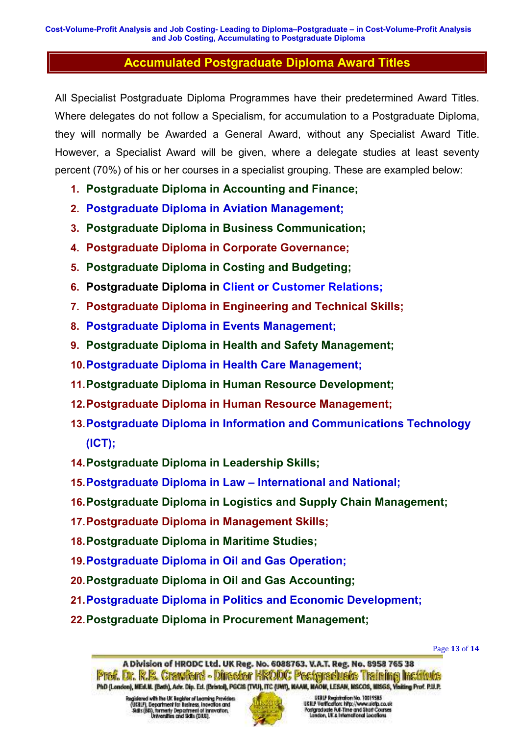# **Accumulated Postgraduate Diploma Award Titles**

All Specialist Postgraduate Diploma Programmes have their predetermined Award Titles. Where delegates do not follow a Specialism, for accumulation to a Postgraduate Diploma, they will normally be Awarded a General Award, without any Specialist Award Title. However, a Specialist Award will be given, where a delegate studies at least seventy percent (70%) of his or her courses in a specialist grouping. These are exampled below:

- **1. Postgraduate Diploma in Accounting and Finance;**
- **2. Postgraduate Diploma in Aviation Management;**
- **3. Postgraduate Diploma in Business Communication;**
- **4. Postgraduate Diploma in Corporate Governance;**
- **5. Postgraduate Diploma in Costing and Budgeting;**
- **6. Postgraduate Diploma in Client or Customer Relations;**
- **7. Postgraduate Diploma in Engineering and Technical Skills;**
- **8. Postgraduate Diploma in Events Management;**
- **9. Postgraduate Diploma in Health and Safety Management;**
- **10. Postgraduate Diploma in Health Care Management;**
- **11. Postgraduate Diploma in Human Resource Development;**
- **12. Postgraduate Diploma in Human Resource Management;**
- **13. Postgraduate Diploma in Information and Communications Technology (ICT);**
- **14. Postgraduate Diploma in Leadership Skills;**
- **15. Postgraduate Diploma in Law International and National;**
- **16. Postgraduate Diploma in Logistics and Supply Chain Management;**
- **17. Postgraduate Diploma in Management Skills;**
- **18. Postgraduate Diploma in Maritime Studies;**
- **19. Postgraduate Diploma in Oil and Gas Operation;**
- **20. Postgraduate Diploma in Oil and Gas Accounting;**
- **21. Postgraduate Diploma in Politics and Economic Development;**
- **22. Postgraduate Diploma in Procurement Management;**